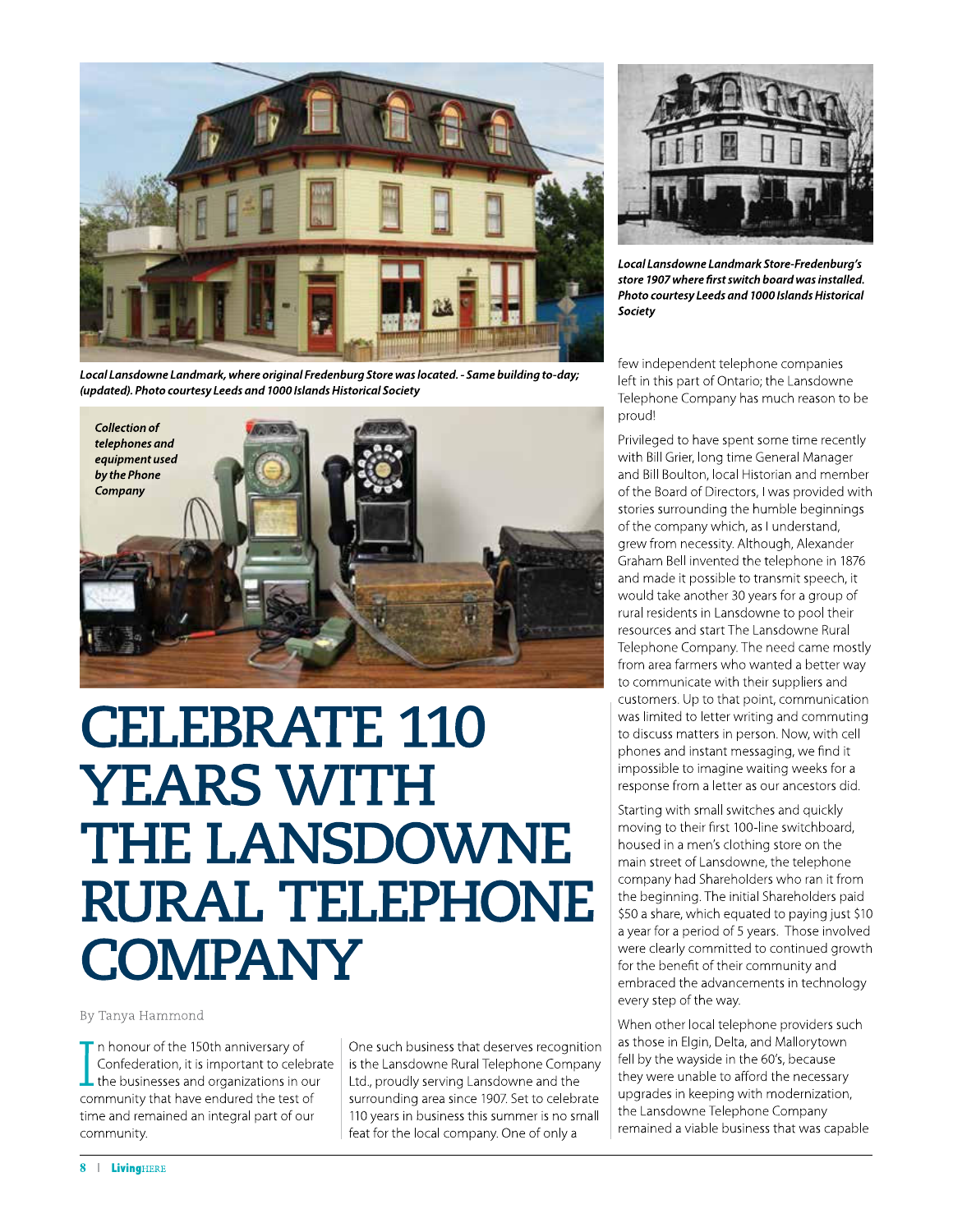

Local Lansdowne Landmark, where original Fredenburg Store was located. - Same building to-day; (updated). Photo courtesy Leeds and 1000 Islands Historical Society



## **CELEBRATE 110 YEARS WITH THE LANSDOWNE RURAL TELEPHONE COMPANY**

By Tanya Hammond

 $\blacksquare$  n honour of the 150th anniversary of Confederation, it is important to celebrate  $\perp$  the businesses and organizations in our community that have endured the test of time and remained an integral part of our community.

One such business that deserves recognition is the Lansdowne Rural Telephone Company Ltd., proudly serving Lansdowne and the surrounding area since 1907. Set to celebrate 110 years in business this summer is no small feat for the local company. One of only a



Local Lansdowne Landmark Store-Fredenburg's store 1907 where first switch board was installed. Photo courtesy Leeds and 1000 Islands Historical Society

few independent telephone companies left in this part of Ontario; the Lansdowne Telephone Company has much reason to be proud!

Privileged to have spent some time recently with Bill Grier, long time General Manager and Bill Boulton, local Historian and member of the Board of Directors, I was provided with stories surrounding the humble beginnings of the company which, as I understand, grew from necessity. Although, Alexander Graham Bell invented the telephone in 1876 and made it possible to transmit speech, it would take another 30 years for a group of rural residents in Lansdowne to pool their resources and start The Lansdowne Rural Telephone Company. The need came mostly from area farmers who wanted a better way to communicate with their suppliers and customers. Up to that point, communication was limited to letter writing and commuting to discuss matters in person. Now, with cell phones and instant messaging, we find it impossible to imagine waiting weeks for a response from a letter as our ancestors did.

Starting with small switches and quickly moving to their first 100-line switchboard, housed in a men's clothing store on the main street of Lansdowne, the telephone company had Shareholders who ran it from the beginning. The initial Shareholders paid \$50 a share, which equated to paying just \$10 a year for a period of 5 years. Those involved were clearly committed to continued growth for the benefit of their community and embraced the advancements in technology every step of the way.

When other local telephone providers such as those in Elgin, Delta, and Mallorytown fell by the wayside in the 60's, because they were unable to afford the necessary upgrades in keeping with modernization, the Lansdowne Telephone Company remained a viable business that was capable